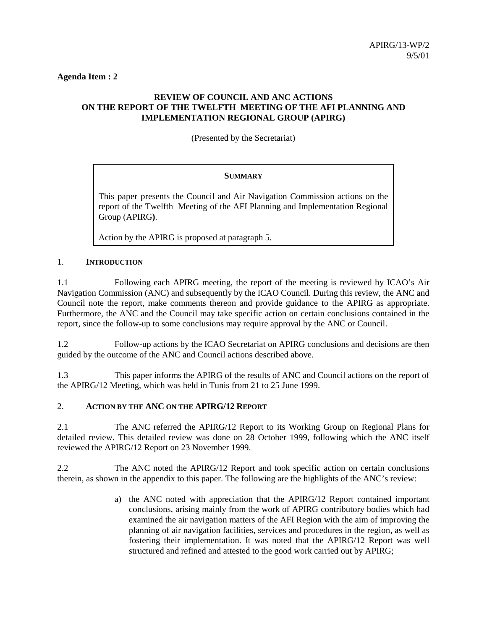**Agenda Item : 2**

# **REVIEW OF COUNCIL AND ANC ACTIONS ON THE REPORT OF THE TWELFTH MEETING OF THE AFI PLANNING AND IMPLEMENTATION REGIONAL GROUP (APIRG)**

(Presented by the Secretariat)

# **SUMMARY**

This paper presents the Council and Air Navigation Commission actions on the report of the Twelfth Meeting of the AFI Planning and Implementation Regional Group (APIRG**)**.

Action by the APIRG is proposed at paragraph 5.

# 1. **INTRODUCTION**

1.1 Following each APIRG meeting, the report of the meeting is reviewed by ICAO's Air Navigation Commission (ANC) and subsequently by the ICAO Council. During this review, the ANC and Council note the report, make comments thereon and provide guidance to the APIRG as appropriate. Furthermore, the ANC and the Council may take specific action on certain conclusions contained in the report, since the follow-up to some conclusions may require approval by the ANC or Council.

1.2 Follow-up actions by the ICAO Secretariat on APIRG conclusions and decisions are then guided by the outcome of the ANC and Council actions described above.

1.3 This paper informs the APIRG of the results of ANC and Council actions on the report of the APIRG/12 Meeting, which was held in Tunis from 21 to 25 June 1999.

### 2. **ACTION BY THE ANC ON THE APIRG/12 REPORT**

2.1 The ANC referred the APIRG/12 Report to its Working Group on Regional Plans for detailed review. This detailed review was done on 28 October 1999, following which the ANC itself reviewed the APIRG/12 Report on 23 November 1999.

2.2 The ANC noted the APIRG/12 Report and took specific action on certain conclusions therein, as shown in the appendix to this paper. The following are the highlights of the ANC's review:

> a) the ANC noted with appreciation that the APIRG/12 Report contained important conclusions, arising mainly from the work of APIRG contributory bodies which had examined the air navigation matters of the AFI Region with the aim of improving the planning of air navigation facilities, services and procedures in the region, as well as fostering their implementation. It was noted that the APIRG/12 Report was well structured and refined and attested to the good work carried out by APIRG;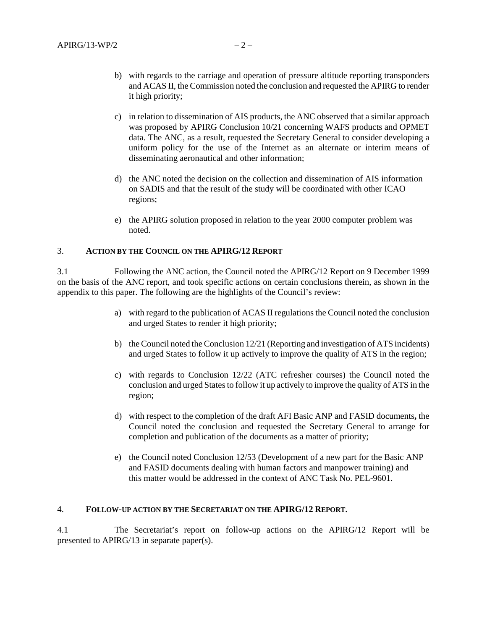- b) with regards to the carriage and operation of pressure altitude reporting transponders and ACAS II, the Commission noted the conclusion and requested the APIRG to render it high priority;
- c) in relation to dissemination of AIS products, the ANC observed that a similar approach was proposed by APIRG Conclusion 10/21 concerning WAFS products and OPMET data. The ANC, as a result, requested the Secretary General to consider developing a uniform policy for the use of the Internet as an alternate or interim means of disseminating aeronautical and other information;
- d) the ANC noted the decision on the collection and dissemination of AIS information on SADIS and that the result of the study will be coordinated with other ICAO regions;
- e) the APIRG solution proposed in relation to the year 2000 computer problem was noted.

### 3. **ACTION BY THE COUNCIL ON THE APIRG/12 REPORT**

3.1 Following the ANC action, the Council noted the APIRG/12 Report on 9 December 1999 on the basis of the ANC report, and took specific actions on certain conclusions therein, as shown in the appendix to this paper. The following are the highlights of the Council's review:

- a) with regard to the publication of ACAS II regulations the Council noted the conclusion and urged States to render it high priority;
- b) the Council noted the Conclusion 12/21 (Reporting and investigation of ATS incidents) and urged States to follow it up actively to improve the quality of ATS in the region;
- c) with regards to Conclusion 12/22 (ATC refresher courses) the Council noted the conclusion and urged States to follow it up actively to improve the quality of ATS in the region;
- d) with respect to the completion of the draft AFI Basic ANP and FASID documents**,** the Council noted the conclusion and requested the Secretary General to arrange for completion and publication of the documents as a matter of priority;
- e) the Council noted Conclusion 12/53 (Development of a new part for the Basic ANP and FASID documents dealing with human factors and manpower training) and this matter would be addressed in the context of ANC Task No. PEL-9601.

#### 4. **FOLLOW-UP ACTION BY THE SECRETARIAT ON THE APIRG/12 REPORT.**

4.1 The Secretariat's report on follow-up actions on the APIRG/12 Report will be presented to APIRG/13 in separate paper(s).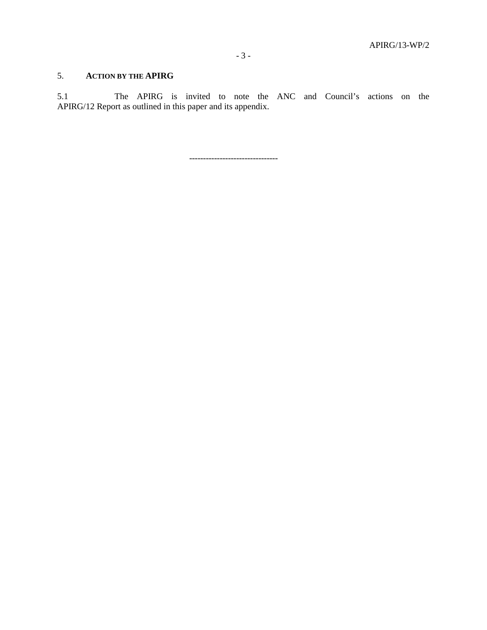# 5. **ACTION BY THE APIRG**

5.1 The APIRG is invited to note the ANC and Council's actions on the APIRG/12 Report as outlined in this paper and its appendix.

--------------------------------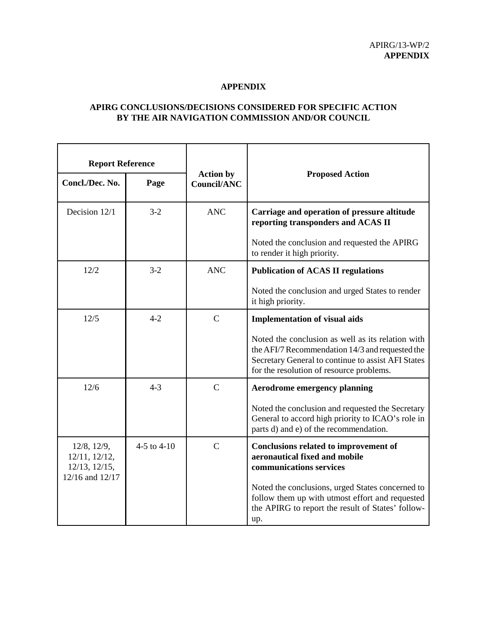#### **APPENDIX**

# **APIRG CONCLUSIONS/DECISIONS CONSIDERED FOR SPECIFIC ACTION BY THE AIR NAVIGATION COMMISSION AND/OR COUNCIL**

| <b>Report Reference</b>                                                            |               |                                 |                                                                                                                                                                                                        |
|------------------------------------------------------------------------------------|---------------|---------------------------------|--------------------------------------------------------------------------------------------------------------------------------------------------------------------------------------------------------|
| Concl./Dec. No.                                                                    | Page          | <b>Action by</b><br>Council/ANC | <b>Proposed Action</b>                                                                                                                                                                                 |
| Decision 12/1                                                                      | $3 - 2$       | <b>ANC</b>                      | Carriage and operation of pressure altitude<br>reporting transponders and ACAS II                                                                                                                      |
|                                                                                    |               |                                 | Noted the conclusion and requested the APIRG<br>to render it high priority.                                                                                                                            |
| 12/2                                                                               | $3-2$         | <b>ANC</b>                      | <b>Publication of ACAS II regulations</b>                                                                                                                                                              |
|                                                                                    |               |                                 | Noted the conclusion and urged States to render<br>it high priority.                                                                                                                                   |
| 12/5                                                                               | $4 - 2$       | $\mathcal{C}$                   | <b>Implementation of visual aids</b>                                                                                                                                                                   |
|                                                                                    |               |                                 | Noted the conclusion as well as its relation with<br>the AFI/7 Recommendation 14/3 and requested the<br>Secretary General to continue to assist AFI States<br>for the resolution of resource problems. |
| 12/6                                                                               | $4 - 3$       | $\mathcal{C}$                   | <b>Aerodrome emergency planning</b>                                                                                                                                                                    |
|                                                                                    |               |                                 | Noted the conclusion and requested the Secretary<br>General to accord high priority to ICAO's role in<br>parts d) and e) of the recommendation.                                                        |
| $12/8$ , $12/9$ ,<br>$12/11$ , $12/12$ ,<br>$12/13$ , $12/15$ ,<br>12/16 and 12/17 | 4-5 to $4-10$ | $\mathcal{C}$                   | Conclusions related to improvement of<br>aeronautical fixed and mobile<br>communications services                                                                                                      |
|                                                                                    |               |                                 | Noted the conclusions, urged States concerned to<br>follow them up with utmost effort and requested<br>the APIRG to report the result of States' follow-<br>up.                                        |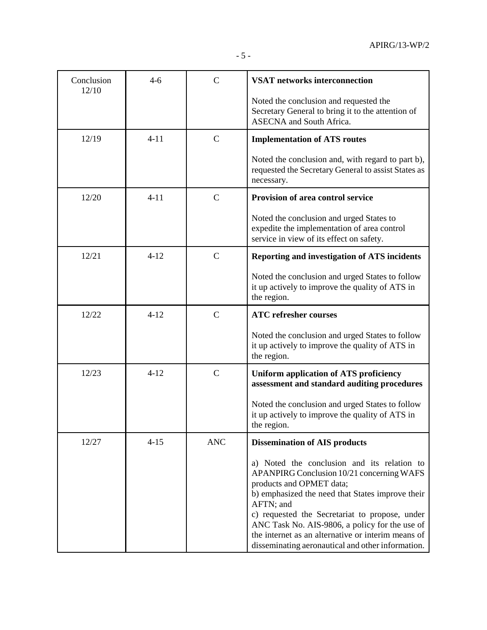| Conclusion<br>12/10 | $4 - 6$  | $\overline{C}$ | <b>VSAT</b> networks interconnection                                                                                                                                                                                                                                                                                                                                                                 |
|---------------------|----------|----------------|------------------------------------------------------------------------------------------------------------------------------------------------------------------------------------------------------------------------------------------------------------------------------------------------------------------------------------------------------------------------------------------------------|
|                     |          |                | Noted the conclusion and requested the<br>Secretary General to bring it to the attention of<br><b>ASECNA</b> and South Africa.                                                                                                                                                                                                                                                                       |
| 12/19               | $4 - 11$ | $\mathsf{C}$   | <b>Implementation of ATS routes</b>                                                                                                                                                                                                                                                                                                                                                                  |
|                     |          |                | Noted the conclusion and, with regard to part b),<br>requested the Secretary General to assist States as<br>necessary.                                                                                                                                                                                                                                                                               |
| 12/20               | $4 - 11$ | $\mathcal{C}$  | Provision of area control service                                                                                                                                                                                                                                                                                                                                                                    |
|                     |          |                | Noted the conclusion and urged States to<br>expedite the implementation of area control<br>service in view of its effect on safety.                                                                                                                                                                                                                                                                  |
| 12/21               | $4 - 12$ | $\mathsf{C}$   | <b>Reporting and investigation of ATS incidents</b>                                                                                                                                                                                                                                                                                                                                                  |
|                     |          |                | Noted the conclusion and urged States to follow<br>it up actively to improve the quality of ATS in<br>the region.                                                                                                                                                                                                                                                                                    |
| 12/22               | $4 - 12$ | $\mathbf C$    | <b>ATC</b> refresher courses                                                                                                                                                                                                                                                                                                                                                                         |
|                     |          |                | Noted the conclusion and urged States to follow<br>it up actively to improve the quality of ATS in<br>the region.                                                                                                                                                                                                                                                                                    |
| 12/23               | $4 - 12$ | $\mathbf C$    | <b>Uniform application of ATS proficiency</b><br>assessment and standard auditing procedures                                                                                                                                                                                                                                                                                                         |
|                     |          |                | Noted the conclusion and urged States to follow<br>it up actively to improve the quality of ATS in<br>the region.                                                                                                                                                                                                                                                                                    |
| 12/27               | $4 - 15$ | <b>ANC</b>     | <b>Dissemination of AIS products</b>                                                                                                                                                                                                                                                                                                                                                                 |
|                     |          |                | a) Noted the conclusion and its relation to<br>APANPIRG Conclusion 10/21 concerning WAFS<br>products and OPMET data;<br>b) emphasized the need that States improve their<br>AFTN; and<br>c) requested the Secretariat to propose, under<br>ANC Task No. AIS-9806, a policy for the use of<br>the internet as an alternative or interim means of<br>disseminating aeronautical and other information. |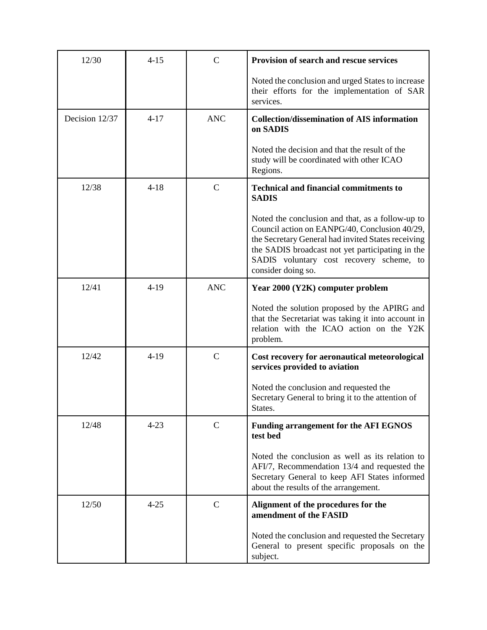| 12/30          | $4 - 15$ | $\mathcal{C}$ | <b>Provision of search and rescue services</b>                                                                                                                                                                                                                                |
|----------------|----------|---------------|-------------------------------------------------------------------------------------------------------------------------------------------------------------------------------------------------------------------------------------------------------------------------------|
|                |          |               | Noted the conclusion and urged States to increase<br>their efforts for the implementation of SAR<br>services.                                                                                                                                                                 |
| Decision 12/37 | $4 - 17$ | <b>ANC</b>    | <b>Collection/dissemination of AIS information</b><br>on SADIS                                                                                                                                                                                                                |
|                |          |               | Noted the decision and that the result of the<br>study will be coordinated with other ICAO<br>Regions.                                                                                                                                                                        |
| 12/38          | $4 - 18$ | $\mathsf{C}$  | <b>Technical and financial commitments to</b><br><b>SADIS</b>                                                                                                                                                                                                                 |
|                |          |               | Noted the conclusion and that, as a follow-up to<br>Council action on EANPG/40, Conclusion 40/29,<br>the Secretary General had invited States receiving<br>the SADIS broadcast not yet participating in the<br>SADIS voluntary cost recovery scheme, to<br>consider doing so. |
| 12/41          | $4-19$   | <b>ANC</b>    | Year 2000 (Y2K) computer problem                                                                                                                                                                                                                                              |
|                |          |               | Noted the solution proposed by the APIRG and<br>that the Secretariat was taking it into account in<br>relation with the ICAO action on the Y2K<br>problem.                                                                                                                    |
| 12/42          | $4-19$   | $\mathbf C$   | Cost recovery for aeronautical meteorological<br>services provided to aviation                                                                                                                                                                                                |
|                |          |               | Noted the conclusion and requested the<br>Secretary General to bring it to the attention of<br>States.                                                                                                                                                                        |
| 12/48          | $4 - 23$ | $\mathsf{C}$  | <b>Funding arrangement for the AFI EGNOS</b><br>test bed                                                                                                                                                                                                                      |
|                |          |               | Noted the conclusion as well as its relation to<br>AFI/7, Recommendation 13/4 and requested the<br>Secretary General to keep AFI States informed<br>about the results of the arrangement.                                                                                     |
| 12/50          | $4 - 25$ | $\mathsf{C}$  | Alignment of the procedures for the<br>amendment of the FASID                                                                                                                                                                                                                 |
|                |          |               | Noted the conclusion and requested the Secretary<br>General to present specific proposals on the<br>subject.                                                                                                                                                                  |